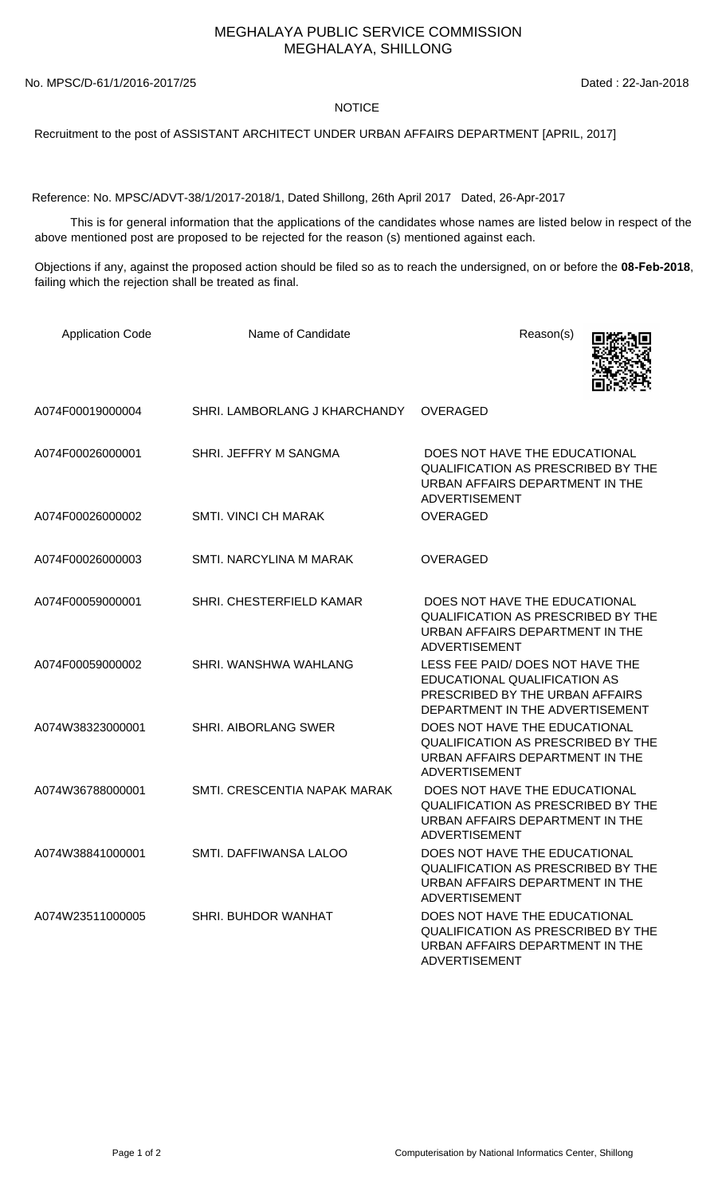## MEGHALAYA PUBLIC SERVICE COMMISSION MEGHALAYA, SHILLONG

No. MPSC/D-61/1/2016-2017/25 Dated : 22-Jan-2018

## **NOTICE**

Recruitment to the post of ASSISTANT ARCHITECT UNDER URBAN AFFAIRS DEPARTMENT [APRIL, 2017]

Reference: No. MPSC/ADVT-38/1/2017-2018/1, Dated Shillong, 26th April 2017 Dated, 26-Apr-2017

 This is for general information that the applications of the candidates whose names are listed below in respect of the above mentioned post are proposed to be rejected for the reason (s) mentioned against each.

Objections if any, against the proposed action should be filed so as to reach the undersigned, on or before the **08-Feb-2018**, failing which the rejection shall be treated as final.

| <b>Application Code</b> | Name of Candidate             | Reason(s)                                                                                                                              |
|-------------------------|-------------------------------|----------------------------------------------------------------------------------------------------------------------------------------|
| A074F00019000004        | SHRI. LAMBORLANG J KHARCHANDY | <b>OVERAGED</b>                                                                                                                        |
| A074F00026000001        | SHRI. JEFFRY M SANGMA         | DOES NOT HAVE THE EDUCATIONAL<br><b>QUALIFICATION AS PRESCRIBED BY THE</b><br>URBAN AFFAIRS DEPARTMENT IN THE<br><b>ADVERTISEMENT</b>  |
| A074F00026000002        | <b>SMTI. VINCI CH MARAK</b>   | <b>OVERAGED</b>                                                                                                                        |
| A074F00026000003        | SMTI. NARCYLINA M MARAK       | <b>OVERAGED</b>                                                                                                                        |
| A074F00059000001        | SHRI. CHESTERFIELD KAMAR      | DOES NOT HAVE THE EDUCATIONAL<br><b>QUALIFICATION AS PRESCRIBED BY THE</b><br>URBAN AFFAIRS DEPARTMENT IN THE<br><b>ADVERTISEMENT</b>  |
| A074F00059000002        | SHRI. WANSHWA WAHLANG         | LESS FEE PAID/ DOES NOT HAVE THE<br>EDUCATIONAL QUALIFICATION AS<br>PRESCRIBED BY THE URBAN AFFAIRS<br>DEPARTMENT IN THE ADVERTISEMENT |
| A074W38323000001        | <b>SHRI. AIBORLANG SWER</b>   | DOES NOT HAVE THE EDUCATIONAL<br><b>QUALIFICATION AS PRESCRIBED BY THE</b><br>URBAN AFFAIRS DEPARTMENT IN THE<br><b>ADVERTISEMENT</b>  |
| A074W36788000001        | SMTI, CRESCENTIA NAPAK MARAK  | DOES NOT HAVE THE EDUCATIONAL<br>QUALIFICATION AS PRESCRIBED BY THE<br>URBAN AFFAIRS DEPARTMENT IN THE<br><b>ADVERTISEMENT</b>         |
| A074W38841000001        | SMTI. DAFFIWANSA LALOO        | DOES NOT HAVE THE EDUCATIONAL<br>QUALIFICATION AS PRESCRIBED BY THE<br>URBAN AFFAIRS DEPARTMENT IN THE<br><b>ADVERTISEMENT</b>         |
| A074W23511000005        | <b>SHRI. BUHDOR WANHAT</b>    | DOES NOT HAVE THE EDUCATIONAL<br><b>QUALIFICATION AS PRESCRIBED BY THE</b><br>URBAN AFFAIRS DEPARTMENT IN THE<br>ADVERTISEMENT         |